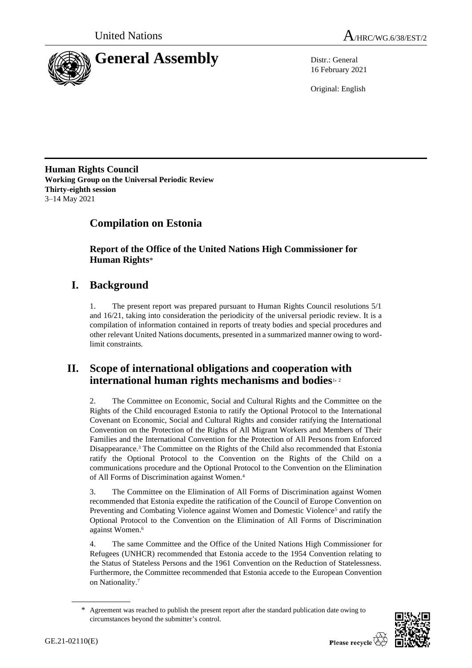



16 February 2021

Original: English

**Human Rights Council Working Group on the Universal Periodic Review Thirty-eighth session** 3–14 May 2021

# **Compilation on Estonia**

**Report of the Office of the United Nations High Commissioner for Human Rights**\*

# **I. Background**

1. The present report was prepared pursuant to Human Rights Council resolutions 5/1 and 16/21, taking into consideration the periodicity of the universal periodic review. It is a compilation of information contained in reports of treaty bodies and special procedures and other relevant United Nations documents, presented in a summarized manner owing to wordlimit constraints.

## **II. Scope of international obligations and cooperation with international human rights mechanisms and bodies**1, <sup>2</sup>

2. The Committee on Economic, Social and Cultural Rights and the Committee on the Rights of the Child encouraged Estonia to ratify the Optional Protocol to the International Covenant on Economic, Social and Cultural Rights and consider ratifying the International Convention on the Protection of the Rights of All Migrant Workers and Members of Their Families and the International Convention for the Protection of All Persons from Enforced Disappearance.<sup>3</sup> The Committee on the Rights of the Child also recommended that Estonia ratify the Optional Protocol to the Convention on the Rights of the Child on a communications procedure and the Optional Protocol to the Convention on the Elimination of All Forms of Discrimination against Women.<sup>4</sup>

3. The Committee on the Elimination of All Forms of Discrimination against Women recommended that Estonia expedite the ratification of the Council of Europe Convention on Preventing and Combating Violence against Women and Domestic Violence<sup>5</sup> and ratify the Optional Protocol to the Convention on the Elimination of All Forms of Discrimination against Women.<sup>6</sup>

4. The same Committee and the Office of the United Nations High Commissioner for Refugees (UNHCR) recommended that Estonia accede to the 1954 Convention relating to the Status of Stateless Persons and the 1961 Convention on the Reduction of Statelessness. Furthermore, the Committee recommended that Estonia accede to the European Convention on Nationality.<sup>7</sup>

Agreement was reached to publish the present report after the standard publication date owing to circumstances beyond the submitter's control.

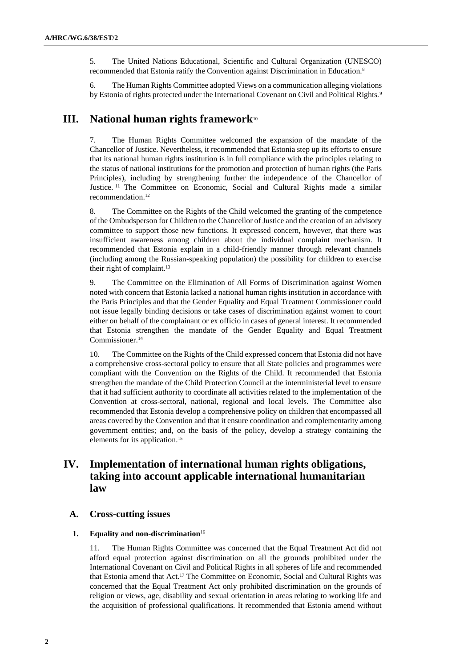5. The United Nations Educational, Scientific and Cultural Organization (UNESCO) recommended that Estonia ratify the Convention against Discrimination in Education.<sup>8</sup>

6. The Human Rights Committee adopted Views on a communication alleging violations by Estonia of rights protected under the International Covenant on Civil and Political Rights.<sup>9</sup>

## **III. National human rights framework**<sup>10</sup>

7. The Human Rights Committee welcomed the expansion of the mandate of the Chancellor of Justice. Nevertheless, it recommended that Estonia step up its efforts to ensure that its national human rights institution is in full compliance with the principles relating to the status of national institutions for the promotion and protection of human rights (the Paris Principles), including by strengthening further the independence of the Chancellor of Justice.<sup>11</sup> The Committee on Economic, Social and Cultural Rights made a similar recommendation.<sup>12</sup>

8. The Committee on the Rights of the Child welcomed the granting of the competence of the Ombudsperson for Children to the Chancellor of Justice and the creation of an advisory committee to support those new functions. It expressed concern, however, that there was insufficient awareness among children about the individual complaint mechanism. It recommended that Estonia explain in a child-friendly manner through relevant channels (including among the Russian-speaking population) the possibility for children to exercise their right of complaint.<sup>13</sup>

9. The Committee on the Elimination of All Forms of Discrimination against Women noted with concern that Estonia lacked a national human rights institution in accordance with the Paris Principles and that the Gender Equality and Equal Treatment Commissioner could not issue legally binding decisions or take cases of discrimination against women to court either on behalf of the complainant or ex officio in cases of general interest. It recommended that Estonia strengthen the mandate of the Gender Equality and Equal Treatment Commissioner.<sup>14</sup>

10. The Committee on the Rights of the Child expressed concern that Estonia did not have a comprehensive cross-sectoral policy to ensure that all State policies and programmes were compliant with the Convention on the Rights of the Child. It recommended that Estonia strengthen the mandate of the Child Protection Council at the interministerial level to ensure that it had sufficient authority to coordinate all activities related to the implementation of the Convention at cross-sectoral, national, regional and local levels. The Committee also recommended that Estonia develop a comprehensive policy on children that encompassed all areas covered by the Convention and that it ensure coordination and complementarity among government entities; and, on the basis of the policy, develop a strategy containing the elements for its application.<sup>15</sup>

## **IV. Implementation of international human rights obligations, taking into account applicable international humanitarian law**

## **A. Cross-cutting issues**

#### **1. Equality and non-discrimination**<sup>16</sup>

11. The Human Rights Committee was concerned that the Equal Treatment Act did not afford equal protection against discrimination on all the grounds prohibited under the International Covenant on Civil and Political Rights in all spheres of life and recommended that Estonia amend that Act.<sup>17</sup> The Committee on Economic, Social and Cultural Rights was concerned that the Equal Treatment Act only prohibited discrimination on the grounds of religion or views, age, disability and sexual orientation in areas relating to working life and the acquisition of professional qualifications. It recommended that Estonia amend without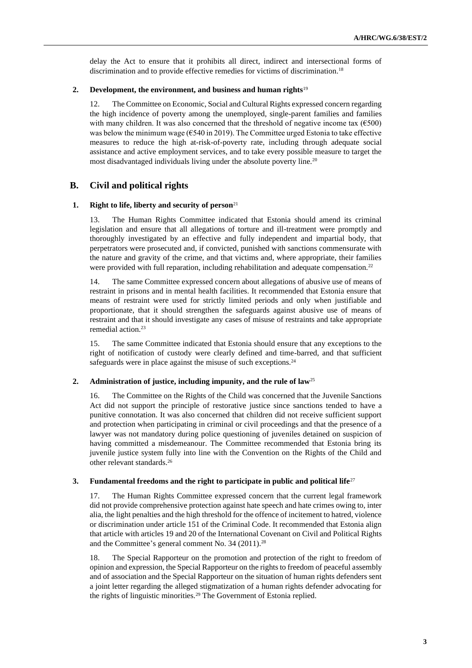delay the Act to ensure that it prohibits all direct, indirect and intersectional forms of discrimination and to provide effective remedies for victims of discrimination.<sup>18</sup>

#### **2. Development, the environment, and business and human rights**<sup>19</sup>

12. The Committee on Economic, Social and Cultural Rights expressed concern regarding the high incidence of poverty among the unemployed, single-parent families and families with many children. It was also concerned that the threshold of negative income tax  $(6500)$ was below the minimum wage ( $\epsilon$ 540 in 2019). The Committee urged Estonia to take effective measures to reduce the high at-risk-of-poverty rate, including through adequate social assistance and active employment services, and to take every possible measure to target the most disadvantaged individuals living under the absolute poverty line.<sup>20</sup>

## **B. Civil and political rights**

### **1. Right to life, liberty and security of person**<sup>21</sup>

13. The Human Rights Committee indicated that Estonia should amend its criminal legislation and ensure that all allegations of torture and ill-treatment were promptly and thoroughly investigated by an effective and fully independent and impartial body, that perpetrators were prosecuted and, if convicted, punished with sanctions commensurate with the nature and gravity of the crime, and that victims and, where appropriate, their families were provided with full reparation, including rehabilitation and adequate compensation.<sup>22</sup>

14. The same Committee expressed concern about allegations of abusive use of means of restraint in prisons and in mental health facilities. It recommended that Estonia ensure that means of restraint were used for strictly limited periods and only when justifiable and proportionate, that it should strengthen the safeguards against abusive use of means of restraint and that it should investigate any cases of misuse of restraints and take appropriate remedial action.<sup>23</sup>

15. The same Committee indicated that Estonia should ensure that any exceptions to the right of notification of custody were clearly defined and time-barred, and that sufficient safeguards were in place against the misuse of such exceptions.<sup>24</sup>

## **2. Administration of justice, including impunity, and the rule of law**<sup>25</sup>

16. The Committee on the Rights of the Child was concerned that the Juvenile Sanctions Act did not support the principle of restorative justice since sanctions tended to have a punitive connotation. It was also concerned that children did not receive sufficient support and protection when participating in criminal or civil proceedings and that the presence of a lawyer was not mandatory during police questioning of juveniles detained on suspicion of having committed a misdemeanour. The Committee recommended that Estonia bring its juvenile justice system fully into line with the Convention on the Rights of the Child and other relevant standards.<sup>26</sup>

## **3. Fundamental freedoms and the right to participate in public and political life**<sup>27</sup>

17. The Human Rights Committee expressed concern that the current legal framework did not provide comprehensive protection against hate speech and hate crimes owing to, inter alia, the light penalties and the high threshold for the offence of incitement to hatred, violence or discrimination under article 151 of the Criminal Code. It recommended that Estonia align that article with articles 19 and 20 of the International Covenant on Civil and Political Rights and the Committee's general comment No. 34 (2011).<sup>28</sup>

18. The Special Rapporteur on the promotion and protection of the right to freedom of opinion and expression, the Special Rapporteur on the rights to freedom of peaceful assembly and of association and the Special Rapporteur on the situation of human rights defenders sent a joint letter regarding the alleged stigmatization of a human rights defender advocating for the rights of linguistic minorities.<sup>29</sup> The Government of Estonia replied.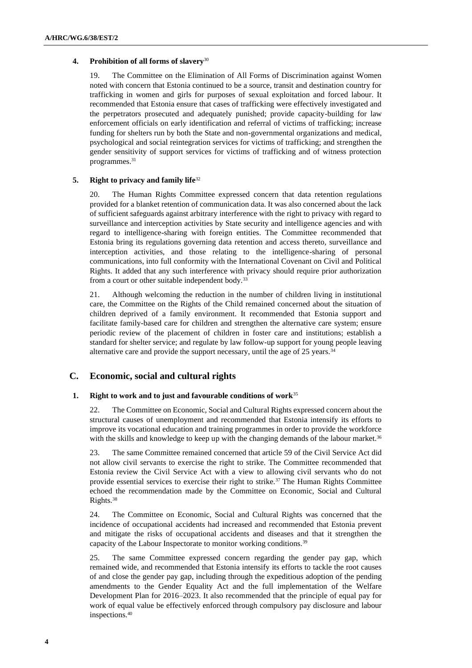## **4. Prohibition of all forms of slavery**<sup>30</sup>

19. The Committee on the Elimination of All Forms of Discrimination against Women noted with concern that Estonia continued to be a source, transit and destination country for trafficking in women and girls for purposes of sexual exploitation and forced labour. It recommended that Estonia ensure that cases of trafficking were effectively investigated and the perpetrators prosecuted and adequately punished; provide capacity-building for law enforcement officials on early identification and referral of victims of trafficking; increase funding for shelters run by both the State and non-governmental organizations and medical, psychological and social reintegration services for victims of trafficking; and strengthen the gender sensitivity of support services for victims of trafficking and of witness protection programmes.<sup>31</sup>

### **5. Right to privacy and family life**<sup>32</sup>

20. The Human Rights Committee expressed concern that data retention regulations provided for a blanket retention of communication data. It was also concerned about the lack of sufficient safeguards against arbitrary interference with the right to privacy with regard to surveillance and interception activities by State security and intelligence agencies and with regard to intelligence-sharing with foreign entities. The Committee recommended that Estonia bring its regulations governing data retention and access thereto, surveillance and interception activities, and those relating to the intelligence-sharing of personal communications, into full conformity with the International Covenant on Civil and Political Rights. It added that any such interference with privacy should require prior authorization from a court or other suitable independent body.<sup>33</sup>

21. Although welcoming the reduction in the number of children living in institutional care, the Committee on the Rights of the Child remained concerned about the situation of children deprived of a family environment. It recommended that Estonia support and facilitate family-based care for children and strengthen the alternative care system; ensure periodic review of the placement of children in foster care and institutions; establish a standard for shelter service; and regulate by law follow-up support for young people leaving alternative care and provide the support necessary, until the age of 25 years.<sup>34</sup>

## **C. Economic, social and cultural rights**

## **1. Right to work and to just and favourable conditions of work**<sup>35</sup>

22. The Committee on Economic, Social and Cultural Rights expressed concern about the structural causes of unemployment and recommended that Estonia intensify its efforts to improve its vocational education and training programmes in order to provide the workforce with the skills and knowledge to keep up with the changing demands of the labour market.<sup>36</sup>

23. The same Committee remained concerned that article 59 of the Civil Service Act did not allow civil servants to exercise the right to strike. The Committee recommended that Estonia review the Civil Service Act with a view to allowing civil servants who do not provide essential services to exercise their right to strike.<sup>37</sup> The Human Rights Committee echoed the recommendation made by the Committee on Economic, Social and Cultural Rights.<sup>38</sup>

24. The Committee on Economic, Social and Cultural Rights was concerned that the incidence of occupational accidents had increased and recommended that Estonia prevent and mitigate the risks of occupational accidents and diseases and that it strengthen the capacity of the Labour Inspectorate to monitor working conditions.<sup>39</sup>

25. The same Committee expressed concern regarding the gender pay gap, which remained wide, and recommended that Estonia intensify its efforts to tackle the root causes of and close the gender pay gap, including through the expeditious adoption of the pending amendments to the Gender Equality Act and the full implementation of the Welfare Development Plan for 2016–2023. It also recommended that the principle of equal pay for work of equal value be effectively enforced through compulsory pay disclosure and labour inspections.40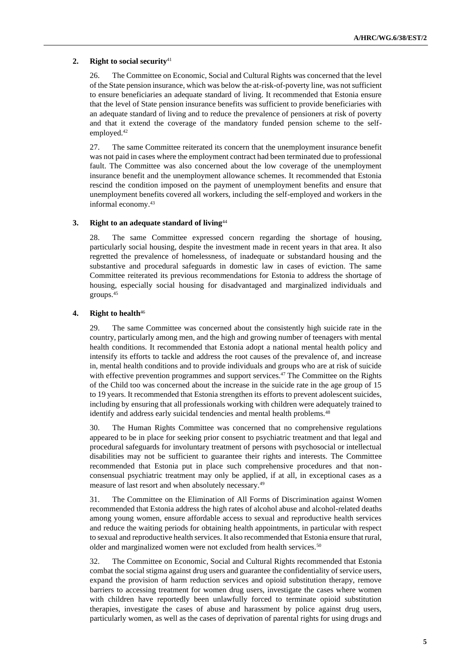#### **2. Right to social security**<sup>41</sup>

26. The Committee on Economic, Social and Cultural Rights was concerned that the level of the State pension insurance, which was below the at-risk-of-poverty line, was not sufficient to ensure beneficiaries an adequate standard of living. It recommended that Estonia ensure that the level of State pension insurance benefits was sufficient to provide beneficiaries with an adequate standard of living and to reduce the prevalence of pensioners at risk of poverty and that it extend the coverage of the mandatory funded pension scheme to the selfemployed.<sup>42</sup>

27. The same Committee reiterated its concern that the unemployment insurance benefit was not paid in cases where the employment contract had been terminated due to professional fault. The Committee was also concerned about the low coverage of the unemployment insurance benefit and the unemployment allowance schemes. It recommended that Estonia rescind the condition imposed on the payment of unemployment benefits and ensure that unemployment benefits covered all workers, including the self-employed and workers in the informal economy.<sup>43</sup>

### **3. Right to an adequate standard of living**<sup>44</sup>

28. The same Committee expressed concern regarding the shortage of housing, particularly social housing, despite the investment made in recent years in that area. It also regretted the prevalence of homelessness, of inadequate or substandard housing and the substantive and procedural safeguards in domestic law in cases of eviction. The same Committee reiterated its previous recommendations for Estonia to address the shortage of housing, especially social housing for disadvantaged and marginalized individuals and groups.<sup>45</sup>

#### **4. Right to health**<sup>46</sup>

29. The same Committee was concerned about the consistently high suicide rate in the country, particularly among men, and the high and growing number of teenagers with mental health conditions. It recommended that Estonia adopt a national mental health policy and intensify its efforts to tackle and address the root causes of the prevalence of, and increase in, mental health conditions and to provide individuals and groups who are at risk of suicide with effective prevention programmes and support services.<sup>47</sup> The Committee on the Rights of the Child too was concerned about the increase in the suicide rate in the age group of 15 to 19 years. It recommended that Estonia strengthen its efforts to prevent adolescent suicides, including by ensuring that all professionals working with children were adequately trained to identify and address early suicidal tendencies and mental health problems.<sup>48</sup>

30. The Human Rights Committee was concerned that no comprehensive regulations appeared to be in place for seeking prior consent to psychiatric treatment and that legal and procedural safeguards for involuntary treatment of persons with psychosocial or intellectual disabilities may not be sufficient to guarantee their rights and interests. The Committee recommended that Estonia put in place such comprehensive procedures and that nonconsensual psychiatric treatment may only be applied, if at all, in exceptional cases as a measure of last resort and when absolutely necessary.<sup>49</sup>

31. The Committee on the Elimination of All Forms of Discrimination against Women recommended that Estonia address the high rates of alcohol abuse and alcohol-related deaths among young women, ensure affordable access to sexual and reproductive health services and reduce the waiting periods for obtaining health appointments, in particular with respect to sexual and reproductive health services. It also recommended that Estonia ensure that rural, older and marginalized women were not excluded from health services.<sup>50</sup>

32. The Committee on Economic, Social and Cultural Rights recommended that Estonia combat the social stigma against drug users and guarantee the confidentiality of service users, expand the provision of harm reduction services and opioid substitution therapy, remove barriers to accessing treatment for women drug users, investigate the cases where women with children have reportedly been unlawfully forced to terminate opioid substitution therapies, investigate the cases of abuse and harassment by police against drug users, particularly women, as well as the cases of deprivation of parental rights for using drugs and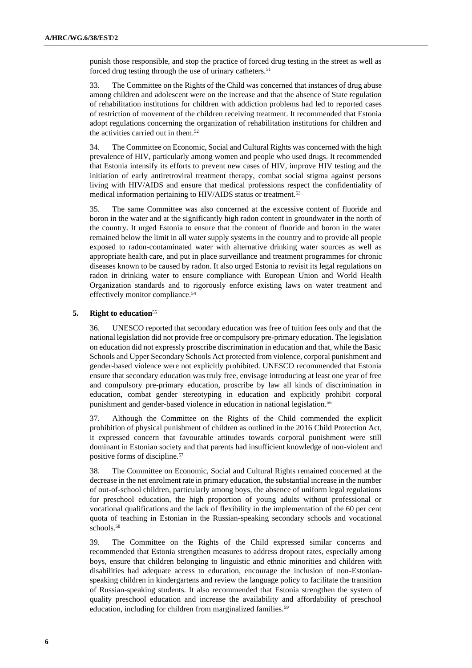punish those responsible, and stop the practice of forced drug testing in the street as well as forced drug testing through the use of urinary catheters.<sup>51</sup>

33. The Committee on the Rights of the Child was concerned that instances of drug abuse among children and adolescent were on the increase and that the absence of State regulation of rehabilitation institutions for children with addiction problems had led to reported cases of restriction of movement of the children receiving treatment. It recommended that Estonia adopt regulations concerning the organization of rehabilitation institutions for children and the activities carried out in them.<sup>52</sup>

34. The Committee on Economic, Social and Cultural Rights was concerned with the high prevalence of HIV, particularly among women and people who used drugs. It recommended that Estonia intensify its efforts to prevent new cases of HIV, improve HIV testing and the initiation of early antiretroviral treatment therapy, combat social stigma against persons living with HIV/AIDS and ensure that medical professions respect the confidentiality of medical information pertaining to HIV/AIDS status or treatment.<sup>53</sup>

35. The same Committee was also concerned at the excessive content of fluoride and boron in the water and at the significantly high radon content in groundwater in the north of the country. It urged Estonia to ensure that the content of fluoride and boron in the water remained below the limit in all water supply systems in the country and to provide all people exposed to radon-contaminated water with alternative drinking water sources as well as appropriate health care, and put in place surveillance and treatment programmes for chronic diseases known to be caused by radon. It also urged Estonia to revisit its legal regulations on radon in drinking water to ensure compliance with European Union and World Health Organization standards and to rigorously enforce existing laws on water treatment and effectively monitor compliance.<sup>54</sup>

#### **5. Right to education**<sup>55</sup>

36. UNESCO reported that secondary education was free of tuition fees only and that the national legislation did not provide free or compulsory pre-primary education. The legislation on education did not expressly proscribe discrimination in education and that, while the Basic Schools and Upper Secondary Schools Act protected from violence, corporal punishment and gender-based violence were not explicitly prohibited. UNESCO recommended that Estonia ensure that secondary education was truly free, envisage introducing at least one year of free and compulsory pre-primary education, proscribe by law all kinds of discrimination in education, combat gender stereotyping in education and explicitly prohibit corporal punishment and gender-based violence in education in national legislation.<sup>56</sup>

37. Although the Committee on the Rights of the Child commended the explicit prohibition of physical punishment of children as outlined in the 2016 Child Protection Act, it expressed concern that favourable attitudes towards corporal punishment were still dominant in Estonian society and that parents had insufficient knowledge of non-violent and positive forms of discipline.<sup>57</sup>

38. The Committee on Economic, Social and Cultural Rights remained concerned at the decrease in the net enrolment rate in primary education, the substantial increase in the number of out-of-school children, particularly among boys, the absence of uniform legal regulations for preschool education, the high proportion of young adults without professional or vocational qualifications and the lack of flexibility in the implementation of the 60 per cent quota of teaching in Estonian in the Russian-speaking secondary schools and vocational schools.<sup>58</sup>

39. The Committee on the Rights of the Child expressed similar concerns and recommended that Estonia strengthen measures to address dropout rates, especially among boys, ensure that children belonging to linguistic and ethnic minorities and children with disabilities had adequate access to education, encourage the inclusion of non-Estonianspeaking children in kindergartens and review the language policy to facilitate the transition of Russian-speaking students. It also recommended that Estonia strengthen the system of quality preschool education and increase the availability and affordability of preschool education, including for children from marginalized families.<sup>59</sup>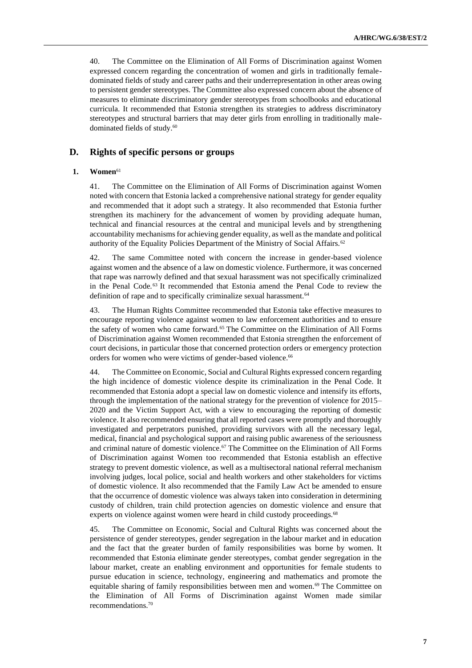40. The Committee on the Elimination of All Forms of Discrimination against Women expressed concern regarding the concentration of women and girls in traditionally femaledominated fields of study and career paths and their underrepresentation in other areas owing to persistent gender stereotypes. The Committee also expressed concern about the absence of measures to eliminate discriminatory gender stereotypes from schoolbooks and educational curricula. It recommended that Estonia strengthen its strategies to address discriminatory stereotypes and structural barriers that may deter girls from enrolling in traditionally maledominated fields of study.<sup>60</sup>

## **D. Rights of specific persons or groups**

## **1. Women**<sup>61</sup>

41. The Committee on the Elimination of All Forms of Discrimination against Women noted with concern that Estonia lacked a comprehensive national strategy for gender equality and recommended that it adopt such a strategy. It also recommended that Estonia further strengthen its machinery for the advancement of women by providing adequate human, technical and financial resources at the central and municipal levels and by strengthening accountability mechanisms for achieving gender equality, as well as the mandate and political authority of the Equality Policies Department of the Ministry of Social Affairs.<sup>62</sup>

42. The same Committee noted with concern the increase in gender-based violence against women and the absence of a law on domestic violence. Furthermore, it was concerned that rape was narrowly defined and that sexual harassment was not specifically criminalized in the Penal Code.<sup>63</sup> It recommended that Estonia amend the Penal Code to review the definition of rape and to specifically criminalize sexual harassment.<sup>64</sup>

43. The Human Rights Committee recommended that Estonia take effective measures to encourage reporting violence against women to law enforcement authorities and to ensure the safety of women who came forward.<sup>65</sup> The Committee on the Elimination of All Forms of Discrimination against Women recommended that Estonia strengthen the enforcement of court decisions, in particular those that concerned protection orders or emergency protection orders for women who were victims of gender-based violence.<sup>66</sup>

44. The Committee on Economic, Social and Cultural Rights expressed concern regarding the high incidence of domestic violence despite its criminalization in the Penal Code. It recommended that Estonia adopt a special law on domestic violence and intensify its efforts, through the implementation of the national strategy for the prevention of violence for 2015– 2020 and the Victim Support Act, with a view to encouraging the reporting of domestic violence. It also recommended ensuring that all reported cases were promptly and thoroughly investigated and perpetrators punished, providing survivors with all the necessary legal, medical, financial and psychological support and raising public awareness of the seriousness and criminal nature of domestic violence.<sup>67</sup> The Committee on the Elimination of All Forms of Discrimination against Women too recommended that Estonia establish an effective strategy to prevent domestic violence, as well as a multisectoral national referral mechanism involving judges, local police, social and health workers and other stakeholders for victims of domestic violence. It also recommended that the Family Law Act be amended to ensure that the occurrence of domestic violence was always taken into consideration in determining custody of children, train child protection agencies on domestic violence and ensure that experts on violence against women were heard in child custody proceedings.<sup>68</sup>

45. The Committee on Economic, Social and Cultural Rights was concerned about the persistence of gender stereotypes, gender segregation in the labour market and in education and the fact that the greater burden of family responsibilities was borne by women. It recommended that Estonia eliminate gender stereotypes, combat gender segregation in the labour market, create an enabling environment and opportunities for female students to pursue education in science, technology, engineering and mathematics and promote the equitable sharing of family responsibilities between men and women.<sup>69</sup> The Committee on the Elimination of All Forms of Discrimination against Women made similar recommendations.70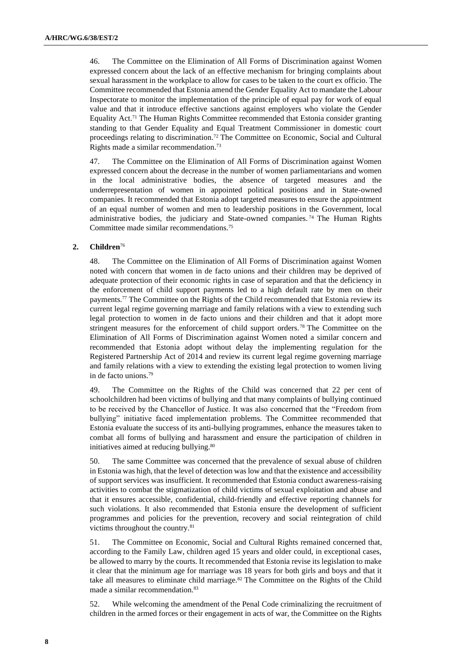46. The Committee on the Elimination of All Forms of Discrimination against Women expressed concern about the lack of an effective mechanism for bringing complaints about sexual harassment in the workplace to allow for cases to be taken to the court ex officio. The Committee recommended that Estonia amend the Gender Equality Act to mandate the Labour Inspectorate to monitor the implementation of the principle of equal pay for work of equal value and that it introduce effective sanctions against employers who violate the Gender Equality Act.<sup>71</sup> The Human Rights Committee recommended that Estonia consider granting standing to that Gender Equality and Equal Treatment Commissioner in domestic court proceedings relating to discrimination.<sup>72</sup> The Committee on Economic, Social and Cultural Rights made a similar recommendation.<sup>73</sup>

47. The Committee on the Elimination of All Forms of Discrimination against Women expressed concern about the decrease in the number of women parliamentarians and women in the local administrative bodies, the absence of targeted measures and the underrepresentation of women in appointed political positions and in State-owned companies. It recommended that Estonia adopt targeted measures to ensure the appointment of an equal number of women and men to leadership positions in the Government, local administrative bodies, the judiciary and State-owned companies. <sup>74</sup> The Human Rights Committee made similar recommendations.<sup>75</sup>

## **2. Children**<sup>76</sup>

48. The Committee on the Elimination of All Forms of Discrimination against Women noted with concern that women in de facto unions and their children may be deprived of adequate protection of their economic rights in case of separation and that the deficiency in the enforcement of child support payments led to a high default rate by men on their payments.<sup>77</sup> The Committee on the Rights of the Child recommended that Estonia review its current legal regime governing marriage and family relations with a view to extending such legal protection to women in de facto unions and their children and that it adopt more stringent measures for the enforcement of child support orders.<sup>78</sup> The Committee on the Elimination of All Forms of Discrimination against Women noted a similar concern and recommended that Estonia adopt without delay the implementing regulation for the Registered Partnership Act of 2014 and review its current legal regime governing marriage and family relations with a view to extending the existing legal protection to women living in de facto unions.<sup>79</sup>

49. The Committee on the Rights of the Child was concerned that 22 per cent of schoolchildren had been victims of bullying and that many complaints of bullying continued to be received by the Chancellor of Justice. It was also concerned that the "Freedom from bullying" initiative faced implementation problems. The Committee recommended that Estonia evaluate the success of its anti-bullying programmes, enhance the measures taken to combat all forms of bullying and harassment and ensure the participation of children in initiatives aimed at reducing bullying.<sup>80</sup>

50. The same Committee was concerned that the prevalence of sexual abuse of children in Estonia was high, that the level of detection was low and that the existence and accessibility of support services was insufficient. It recommended that Estonia conduct awareness-raising activities to combat the stigmatization of child victims of sexual exploitation and abuse and that it ensures accessible, confidential, child-friendly and effective reporting channels for such violations. It also recommended that Estonia ensure the development of sufficient programmes and policies for the prevention, recovery and social reintegration of child victims throughout the country.<sup>81</sup>

51. The Committee on Economic, Social and Cultural Rights remained concerned that, according to the Family Law, children aged 15 years and older could, in exceptional cases, be allowed to marry by the courts. It recommended that Estonia revise its legislation to make it clear that the minimum age for marriage was 18 years for both girls and boys and that it take all measures to eliminate child marriage.<sup>82</sup> The Committee on the Rights of the Child made a similar recommendation.<sup>83</sup>

52. While welcoming the amendment of the Penal Code criminalizing the recruitment of children in the armed forces or their engagement in acts of war, the Committee on the Rights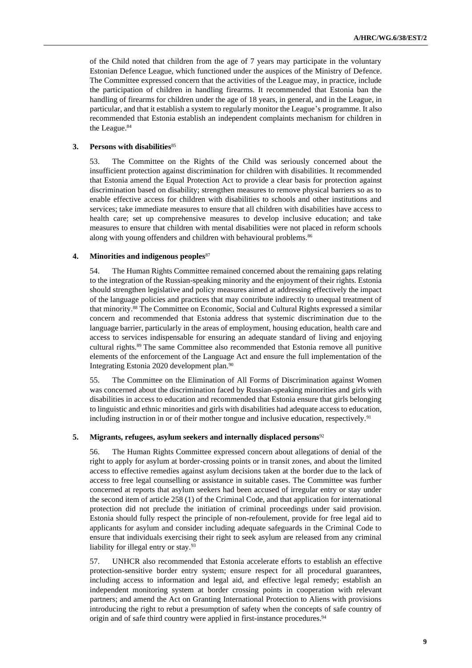of the Child noted that children from the age of 7 years may participate in the voluntary Estonian Defence League, which functioned under the auspices of the Ministry of Defence. The Committee expressed concern that the activities of the League may, in practice, include the participation of children in handling firearms. It recommended that Estonia ban the handling of firearms for children under the age of 18 years, in general, and in the League, in particular, and that it establish a system to regularly monitor the League's programme. It also recommended that Estonia establish an independent complaints mechanism for children in the League.<sup>84</sup>

#### **3. Persons with disabilities**<sup>85</sup>

53. The Committee on the Rights of the Child was seriously concerned about the insufficient protection against discrimination for children with disabilities. It recommended that Estonia amend the Equal Protection Act to provide a clear basis for protection against discrimination based on disability; strengthen measures to remove physical barriers so as to enable effective access for children with disabilities to schools and other institutions and services; take immediate measures to ensure that all children with disabilities have access to health care; set up comprehensive measures to develop inclusive education; and take measures to ensure that children with mental disabilities were not placed in reform schools along with young offenders and children with behavioural problems.<sup>86</sup>

#### **4. Minorities and indigenous peoples**<sup>87</sup>

54. The Human Rights Committee remained concerned about the remaining gaps relating to the integration of the Russian-speaking minority and the enjoyment of their rights. Estonia should strengthen legislative and policy measures aimed at addressing effectively the impact of the language policies and practices that may contribute indirectly to unequal treatment of that minority.<sup>88</sup> The Committee on Economic, Social and Cultural Rights expressed a similar concern and recommended that Estonia address that systemic discrimination due to the language barrier, particularly in the areas of employment, housing education, health care and access to services indispensable for ensuring an adequate standard of living and enjoying cultural rights.<sup>89</sup> The same Committee also recommended that Estonia remove all punitive elements of the enforcement of the Language Act and ensure the full implementation of the Integrating Estonia 2020 development plan.<sup>90</sup>

55. The Committee on the Elimination of All Forms of Discrimination against Women was concerned about the discrimination faced by Russian-speaking minorities and girls with disabilities in access to education and recommended that Estonia ensure that girls belonging to linguistic and ethnic minorities and girls with disabilities had adequate access to education, including instruction in or of their mother tongue and inclusive education, respectively.<sup>91</sup>

#### **5. Migrants, refugees, asylum seekers and internally displaced persons**<sup>92</sup>

56. The Human Rights Committee expressed concern about allegations of denial of the right to apply for asylum at border-crossing points or in transit zones, and about the limited access to effective remedies against asylum decisions taken at the border due to the lack of access to free legal counselling or assistance in suitable cases. The Committee was further concerned at reports that asylum seekers had been accused of irregular entry or stay under the second item of article 258 (1) of the Criminal Code, and that application for international protection did not preclude the initiation of criminal proceedings under said provision. Estonia should fully respect the principle of non-refoulement, provide for free legal aid to applicants for asylum and consider including adequate safeguards in the Criminal Code to ensure that individuals exercising their right to seek asylum are released from any criminal liability for illegal entry or stay.<sup>93</sup>

57. UNHCR also recommended that Estonia accelerate efforts to establish an effective protection-sensitive border entry system; ensure respect for all procedural guarantees, including access to information and legal aid, and effective legal remedy; establish an independent monitoring system at border crossing points in cooperation with relevant partners; and amend the Act on Granting International Protection to Aliens with provisions introducing the right to rebut a presumption of safety when the concepts of safe country of origin and of safe third country were applied in first-instance procedures.<sup>94</sup>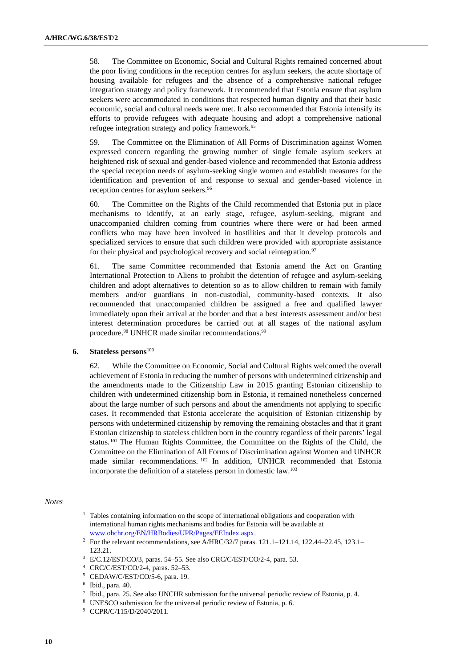58. The Committee on Economic, Social and Cultural Rights remained concerned about the poor living conditions in the reception centres for asylum seekers, the acute shortage of housing available for refugees and the absence of a comprehensive national refugee integration strategy and policy framework. It recommended that Estonia ensure that asylum seekers were accommodated in conditions that respected human dignity and that their basic economic, social and cultural needs were met. It also recommended that Estonia intensify its efforts to provide refugees with adequate housing and adopt a comprehensive national refugee integration strategy and policy framework.<sup>95</sup>

59. The Committee on the Elimination of All Forms of Discrimination against Women expressed concern regarding the growing number of single female asylum seekers at heightened risk of sexual and gender-based violence and recommended that Estonia address the special reception needs of asylum-seeking single women and establish measures for the identification and prevention of and response to sexual and gender-based violence in reception centres for asylum seekers.<sup>96</sup>

60. The Committee on the Rights of the Child recommended that Estonia put in place mechanisms to identify, at an early stage, refugee, asylum-seeking, migrant and unaccompanied children coming from countries where there were or had been armed conflicts who may have been involved in hostilities and that it develop protocols and specialized services to ensure that such children were provided with appropriate assistance for their physical and psychological recovery and social reintegration.<sup>97</sup>

61. The same Committee recommended that Estonia amend the Act on Granting International Protection to Aliens to prohibit the detention of refugee and asylum-seeking children and adopt alternatives to detention so as to allow children to remain with family members and/or guardians in non-custodial, community-based contexts. It also recommended that unaccompanied children be assigned a free and qualified lawyer immediately upon their arrival at the border and that a best interests assessment and/or best interest determination procedures be carried out at all stages of the national asylum procedure.<sup>98</sup> UNHCR made similar recommendations.<sup>99</sup>

### **6. Stateless persons**<sup>100</sup>

62. While the Committee on Economic, Social and Cultural Rights welcomed the overall achievement of Estonia in reducing the number of persons with undetermined citizenship and the amendments made to the Citizenship Law in 2015 granting Estonian citizenship to children with undetermined citizenship born in Estonia, it remained nonetheless concerned about the large number of such persons and about the amendments not applying to specific cases. It recommended that Estonia accelerate the acquisition of Estonian citizenship by persons with undetermined citizenship by removing the remaining obstacles and that it grant Estonian citizenship to stateless children born in the country regardless of their parents' legal status.<sup>101</sup> The Human Rights Committee, the Committee on the Rights of the Child, the Committee on the Elimination of All Forms of Discrimination against Women and UNHCR made similar recommendations. <sup>102</sup> In addition, UNHCR recommended that Estonia incorporate the definition of a stateless person in domestic law.<sup>103</sup>

#### *Notes*

- <sup>1</sup> Tables containing information on the scope of international obligations and cooperation with international human rights mechanisms and bodies for Estonia will be available at [www.ohchr.org/EN/HRBodies/UPR/Pages/EEIndex.aspx.](http://www.ohchr.org/EN/HRBodies/UPR/Pages/EEIndex.aspx)
- <sup>2</sup> For the relevant recommendations, see A/HRC/32/7 paras. 121.1–121.14, 122.44–22.45, 123.1– 123.21.
- <sup>3</sup> E/C.12/EST/CO/3, paras. 54–55. See also CRC/C/EST/CO/2-4, para. 53.
- <sup>4</sup> CRC/C/EST/CO/2-4, paras. 52–53.
- <sup>5</sup> CEDAW/C/EST/CO/5-6, para. 19.

- 7 Ibid., para. 25. See also UNCHR submission for the universal periodic review of Estonia, p. 4.
- <sup>8</sup> UNESCO submission for the universal periodic review of Estonia, p. 6.

<sup>6</sup> Ibid., para. 40.

<sup>9</sup> CCPR/C/115/D/2040/2011.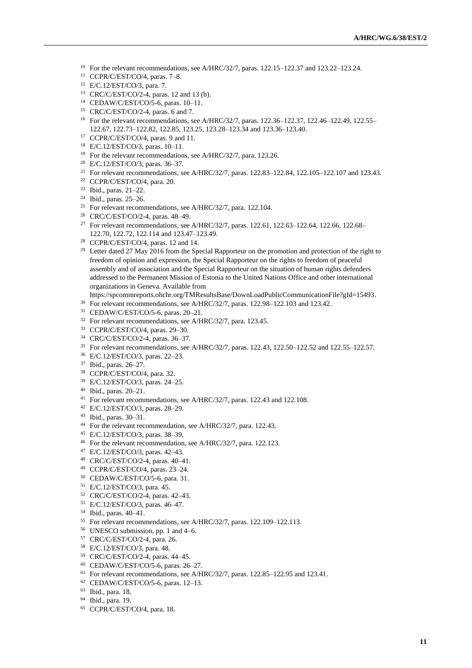- For the relevant recommendations, see A/HRC/32/7, paras. 122.15–122.37 and 123.22–123.24.
- CCPR/C/EST/CO/4, paras. 7–8.
- E/C.12/EST/CO/3, para. 7.
- CRC/C/EST/CO/2-4, paras. 12 and 13 (b).
- CEDAW/C/EST/CO/5-6, paras. 10–11.
- CRC/C/EST/CO/2-4, paras. 6 and 7.
- For the relevant recommendations, see A/HRC/32/7, paras. 122.36–122.37, 122.46–122.49, 122.55– 122.67, 122.73–122.82, 122.85, 123.25, 123.28–123.34 and 123.36–123.40.
- <sup>17</sup> CCPR/C/EST/CO/4, paras. 9 and 11.
- E/C.12/EST/CO/3, paras. 10–11.
- <sup>19</sup> For the relevant recommendations, see A/HRC/32/7, para. 123.26.
- E/C.12/EST/CO/3, paras. 36–37.
- <sup>21</sup> For relevant recommendations, see A/HRC/32/7, paras. 122.83-122.84, 122.105-122.107 and 123.43.
- CCPR/C/EST/CO/4, para. 20.
- Ibid., paras. 21–22.
- Ibid., paras. 25–26.
- <sup>25</sup> For relevant recommendations, see A/HRC/32/7, para. 122.104.
- CRC/C/EST/CO/2-4, paras. 48–49.
- <sup>27</sup> For relevant recommendations, see A/HRC/32/7, paras. 122.61, 122.63–122.64, 122.66, 122.68– 122.70, 122.72, 122.114 and 123.47–123.49.
- CCPR/C/EST/CO/4, paras. 12 and 14.
- <sup>29</sup> Letter dated 27 May 2016 from the Special Rapporteur on the promotion and protection of the right to freedom of opinion and expression, the Special Rapporteur on the rights to freedom of peaceful assembly and of association and the Special Rapporteur on the situation of human rights defenders addressed to the Permanent Mission of Estonia to the United Nations Office and other international organizations in Geneva. Available from
- https://spcommreports.ohchr.org/TMResultsBase/DownLoadPublicCommunicationFile?gId=15493.
- <sup>30</sup> For relevant recommendations, see A/HRC/32/7, paras. 122.98–122.103 and 123.42.
- CEDAW/C/EST/CO/5-6, paras. 20–21.
- <sup>32</sup> For relevant recommendations, see A/HRC/32/7, para. 123.45.
- CCPR/C/EST/CO/4, paras. 29–30.
- CRC/C/EST/CO/2-4, paras. 36–37.
- For relevant recommendations, see A/HRC/32/7, paras. 122.43, 122.50–122.52 and 122.55–122.57.
- E/C.12/EST/CO/3, paras. 22–23.
- Ibid., paras. 26–27.
- CCPR/C/EST/CO/4, para. 32.
- E/C.12/EST/CO/3, paras. 24–25.
- Ibid., paras. 20–21.
- <sup>41</sup> For relevant recommendations, see A/HRC/32/7, paras. 122.43 and 122.108.
- E/C.12/EST/CO/3, paras. 28–29.
- Ibid., paras. 30–31.
- For the relevant recommendation, see A/HRC/32/7, para. 122.43.
- E/C.12/EST/CO/3, paras. 38–39.
- For the relevant recommendation, see A/HRC/32/7, para. 122.123.
- E/C.12/EST/CO/3, paras. 42–43.
- CRC/C/EST/CO/2-4, paras. 40–41.
- CCPR/C/EST/CO/4, paras. 23–24.
- CEDAW/C/EST/CO/5-6, para. 31.
- E/C.12/EST/CO/3, para. 45.
- CRC/C/EST/CO/2-4, paras. 42–43.
- E/C.12/EST/CO/3, paras. 46–47.
- Ibid., paras. 40–41.
- For relevant recommendations, see A/HRC/32/7, paras. 122.109–122.113.
- UNESCO submission, pp. 1 and 4–6.
- CRC/C/EST/CO/2-4, para. 26.
- E/C.12/EST/CO/3, para. 48.
- CRC/C/EST/CO/2-4, paras. 44–45.
- CEDAW/C/EST/CO/5-6, paras. 26–27.
- <sup>61</sup> For relevant recommendations, see A/HRC/32/7, paras. 122.85–122.95 and 123.41.
- CEDAW/C/EST/CO/5-6, paras. 12–13.
- Ibid., para. 18.
- Ibid., para. 19.
- CCPR/C/EST/CO/4, para. 18.